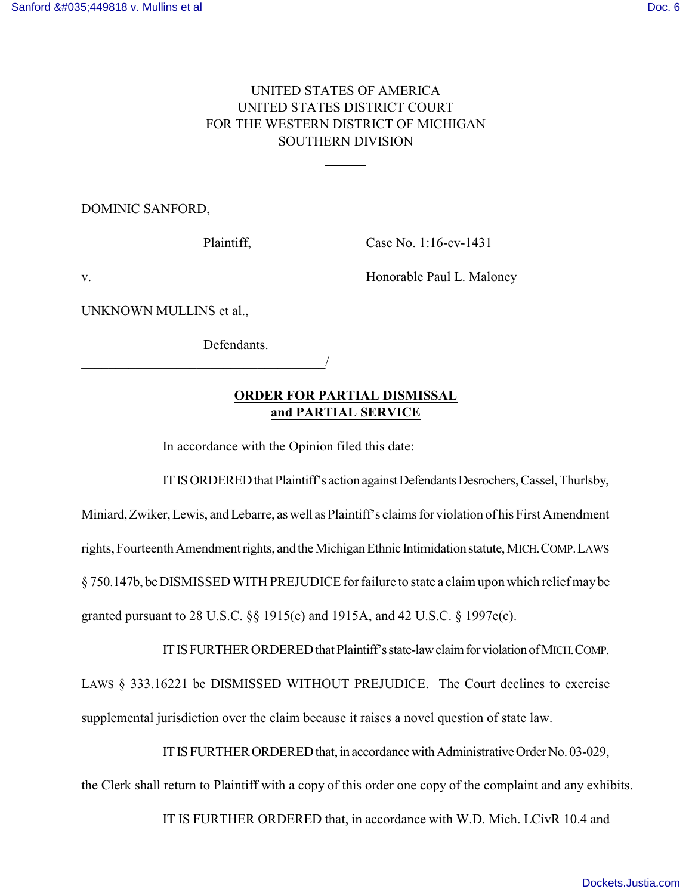## UNITED STATES OF AMERICA UNITED STATES DISTRICT COURT FOR THE WESTERN DISTRICT OF MICHIGAN SOUTHERN DIVISION

 $\overline{a}$ 

DOMINIC SANFORD,

Plaintiff, Case No. 1:16-cv-1431

v. **Example Paul L. Maloney V.** Honorable Paul L. Maloney

UNKNOWN MULLINS et al.,

Defendants.

\_\_\_\_\_\_\_\_\_\_\_\_\_\_\_\_\_\_\_\_\_\_\_\_\_\_\_\_\_\_\_\_\_\_\_\_/

## **ORDER FOR PARTIAL DISMISSAL and PARTIAL SERVICE**

In accordance with the Opinion filed this date:

IT IS ORDERED that Plaintiff's action against Defendants Desrochers, Cassel, Thurlsby,

Miniard, Zwiker, Lewis, and Lebarre, as well as Plaintiff's claims for violation of his First Amendment rights,FourteenthAmendmentrights, and theMichiganEthnic Intimidationstatute,MICH.COMP.LAWS § 750.147b, be DISMISSED WITH PREJUDICE for failure to state a claim upon which relief may be granted pursuant to 28 U.S.C. §§ 1915(e) and 1915A, and 42 U.S.C. § 1997e(c).

ITISFURTHERORDEREDthatPlaintiff'sstate-lawclaimforviolationofMICH.COMP. LAWS § 333.16221 be DISMISSED WITHOUT PREJUDICE. The Court declines to exercise supplemental jurisdiction over the claim because it raises a novel question of state law.

IT IS FURTHER ORDERED that, in accordance with Administrative Order No. 03-029, the Clerk shall return to Plaintiff with a copy of this order one copy of the complaint and any exhibits.

IT IS FURTHER ORDERED that, in accordance with W.D. Mich. LCivR 10.4 and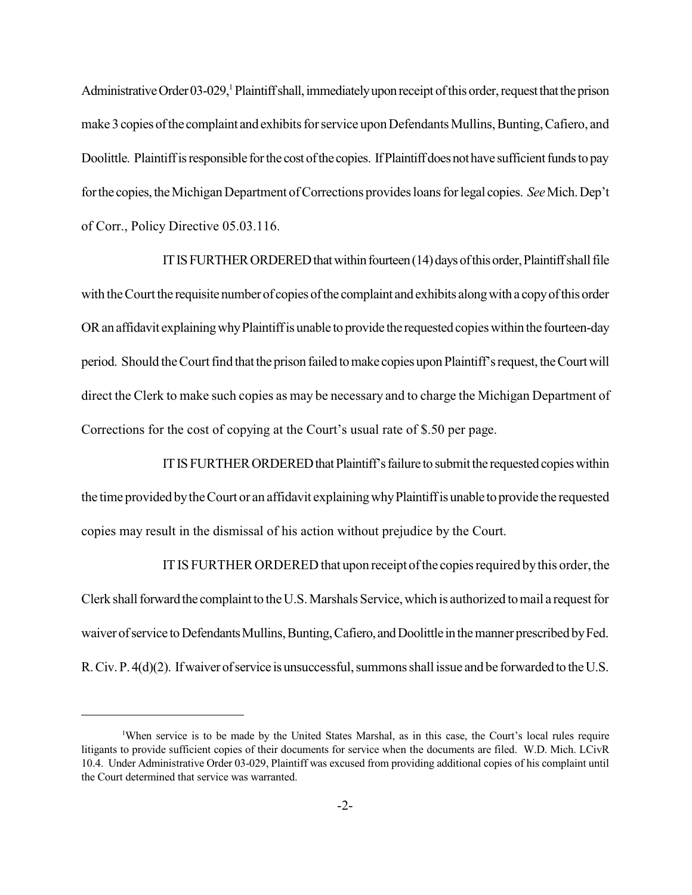Administrative Order 03-029,<sup>1</sup> Plaintiff shall, immediately upon receipt of this order, request that the prison make 3 copies of the complaint and exhibits for service upon Defendants Mullins, Bunting, Cafiero, and Doolittle. Plaintiff is responsible for the cost of the copies. If Plaintiff does not have sufficient funds to pay for the copies, the Michigan Department of Corrections provides loans for legal copies. *See* Mich. Dep't of Corr., Policy Directive 05.03.116.

IT IS FURTHER ORDERED that within fourteen  $(14)$  days of this order, Plaintiff shall file with the Court the requisite number of copies of the complaint and exhibits along with a copy of this order OR an affidavit explaining why Plaintiff is unable to provide the requested copies within the fourteen-day period. Should the Court find that the prison failed to make copies upon Plaintiff's request, the Court will direct the Clerk to make such copies as may be necessary and to charge the Michigan Department of Corrections for the cost of copying at the Court's usual rate of \$.50 per page.

IT IS FURTHER ORDERED that Plaintiff's failure to submit the requested copies within the time provided by the Court or an affidavit explaining why Plaintiff is unable to provide the requested copies may result in the dismissal of his action without prejudice by the Court.

IT IS FURTHER ORDERED that upon receipt ofthe copiesrequired bythis order, the Clerk shall forward the complaint to the U.S. Marshals Service, which is authorized to mail a request for waiver of service to Defendants Mullins, Bunting, Cafiero, and Doolittle in the manner prescribed by Fed. R. Civ. P. 4(d)(2). If waiver of service is unsuccessful, summons shall issue and be forwarded to the U.S.

<sup>&</sup>lt;sup>1</sup>When service is to be made by the United States Marshal, as in this case, the Court's local rules require litigants to provide sufficient copies of their documents for service when the documents are filed. W.D. Mich. LCivR 10.4. Under Administrative Order 03-029, Plaintiff was excused from providing additional copies of his complaint until the Court determined that service was warranted.